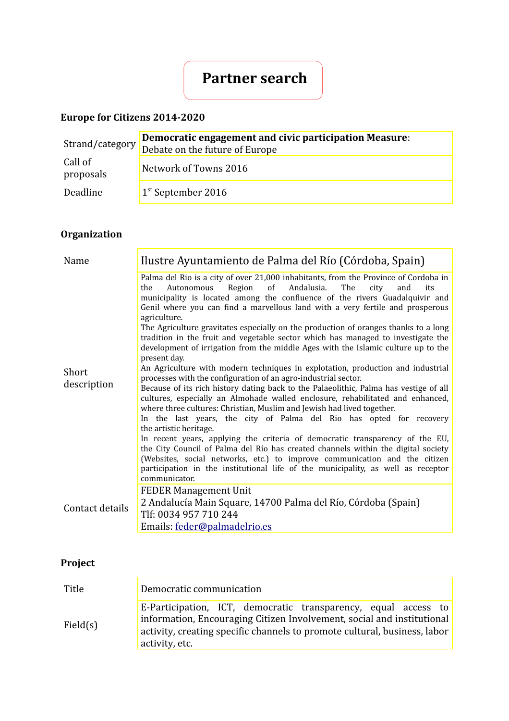# **Partner search**

### **Europe for Citizens 2014-2020**

| Strand/category      | Democratic engagement and civic participation Measure:<br>Debate on the future of Europe |
|----------------------|------------------------------------------------------------------------------------------|
| Call of<br>proposals | Network of Towns 2016                                                                    |
| Deadline             | $1st$ September 2016                                                                     |

## **Organization**

| Name                 | Ilustre Ayuntamiento de Palma del Río (Córdoba, Spain)                                                                                                                                                                                                                                                                                                                                                                                                                                                                                                                                                                                                                                                                                                                                                                                                                                                                                                                                                                                                                                                                                                                                                                                                                                                                                                                                                                                                                                                 |
|----------------------|--------------------------------------------------------------------------------------------------------------------------------------------------------------------------------------------------------------------------------------------------------------------------------------------------------------------------------------------------------------------------------------------------------------------------------------------------------------------------------------------------------------------------------------------------------------------------------------------------------------------------------------------------------------------------------------------------------------------------------------------------------------------------------------------------------------------------------------------------------------------------------------------------------------------------------------------------------------------------------------------------------------------------------------------------------------------------------------------------------------------------------------------------------------------------------------------------------------------------------------------------------------------------------------------------------------------------------------------------------------------------------------------------------------------------------------------------------------------------------------------------------|
| Short<br>description | Palma del Rio is a city of over 21,000 inhabitants, from the Province of Cordoba in<br>Region<br>of<br>Andalusia.<br>Autonomous<br>The<br>the<br>city<br>and<br>its<br>municipality is located among the confluence of the rivers Guadalquivir and<br>Genil where you can find a marvellous land with a very fertile and prosperous<br>agriculture.<br>The Agriculture gravitates especially on the production of oranges thanks to a long<br>tradition in the fruit and vegetable sector which has managed to investigate the<br>development of irrigation from the middle Ages with the Islamic culture up to the<br>present day.<br>An Agriculture with modern techniques in explotation, production and industrial<br>processes with the configuration of an agro-industrial sector.<br>Because of its rich history dating back to the Palaeolithic, Palma has vestige of all<br>cultures, especially an Almohade walled enclosure, rehabilitated and enhanced,<br>where three cultures: Christian, Muslim and Jewish had lived together.<br>In the last years, the city of Palma del Rio has opted for recovery<br>the artistic heritage.<br>In recent years, applying the criteria of democratic transparency of the EU,<br>the City Council of Palma del Río has created channels within the digital society<br>(Websites, social networks, etc.) to improve communication and the citizen<br>participation in the institutional life of the municipality, as well as receptor<br>communicator. |
| Contact details      | <b>FEDER Management Unit</b><br>2 Andalucía Main Square, 14700 Palma del Río, Córdoba (Spain)<br>Tlf: 0034 957 710 244<br>Emails: feder@palmadelrio.es                                                                                                                                                                                                                                                                                                                                                                                                                                                                                                                                                                                                                                                                                                                                                                                                                                                                                                                                                                                                                                                                                                                                                                                                                                                                                                                                                 |

## **Project**

| Title    | Democratic communication                                                                                                                                                                                                                |
|----------|-----------------------------------------------------------------------------------------------------------------------------------------------------------------------------------------------------------------------------------------|
| Field(s) | E-Participation, ICT, democratic transparency, equal access to<br>information, Encouraging Citizen Involvement, social and institutional<br>activity, creating specific channels to promote cultural, business, labor<br>activity, etc. |